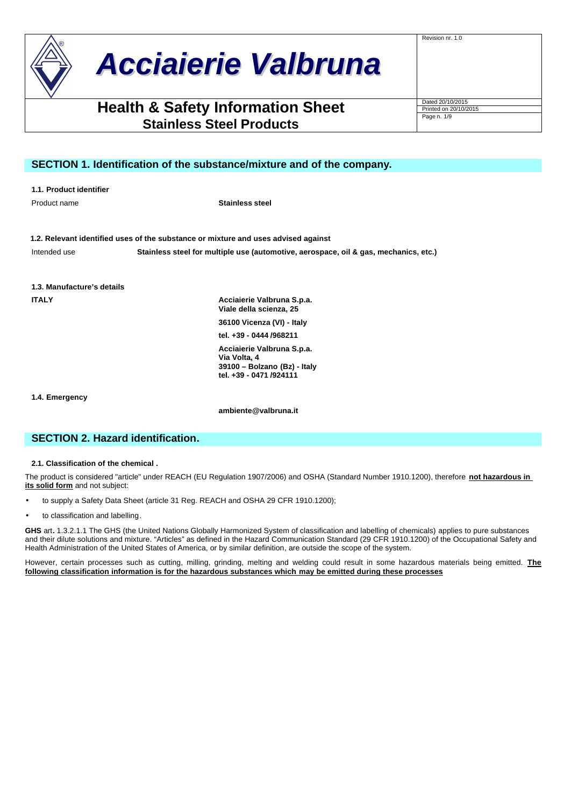# *Acciaierie Valbruna*

# **Health & Safety Information Sheet** Dated 20/10/2015 **Stainless Steel Products**

Page n. 1/9

Revision nr. 1.0

# **SECTION 1. Identification of the substance/mixture and of the company.**

|  |  | 1.1. Product identifier |
|--|--|-------------------------|
|--|--|-------------------------|

Product name **Stainless steel**

**1.2. Relevant identified uses of the substance or mixture and uses advised against**

Intended use **Stainless steel for multiple use (automotive, aerospace, oil & gas, mechanics, etc.)**

**1.3. Manufacture's details**

**ITALY Acciaierie Valbruna S.p.a. Viale della scienza, 25 36100 Vicenza (VI) - Italy**

**tel. +39 - 0444 /968211**

**Acciaierie Valbruna S.p.a. Via Volta, 4 39100 – Bolzano (Bz) - Italy tel. +39 - 0471 /924111**

**1.4. Emergency**

**ambiente@valbruna.it**

# **SECTION 2. Hazard identification.**

**2.1. Classification of the chemical .**

The product is considered "article" under REACH (EU Regulation 1907/2006) and OSHA (Standard Number 1910.1200), therefore **not hazardous in its solid form** and not subject:

- to supply a Safety Data Sheet (article 31 Reg. REACH and OSHA 29 CFR 1910.1200);
- to classification and labelling.

**GHS** art**.** 1.3.2.1.1 The GHS (the United Nations Globally Harmonized System of classification and labelling of chemicals) applies to pure substances and their dilute solutions and mixture. "Articles" as defined in the Hazard Communication Standard (29 CFR 1910.1200) of the Occupational Safety and Health Administration of the United States of America, or by similar definition, are outside the scope of the system.

However, certain processes such as cutting, milling, grinding, melting and welding could result in some hazardous materials being emitted. **The following classification information is for the hazardous substances which may be emitted during these processes**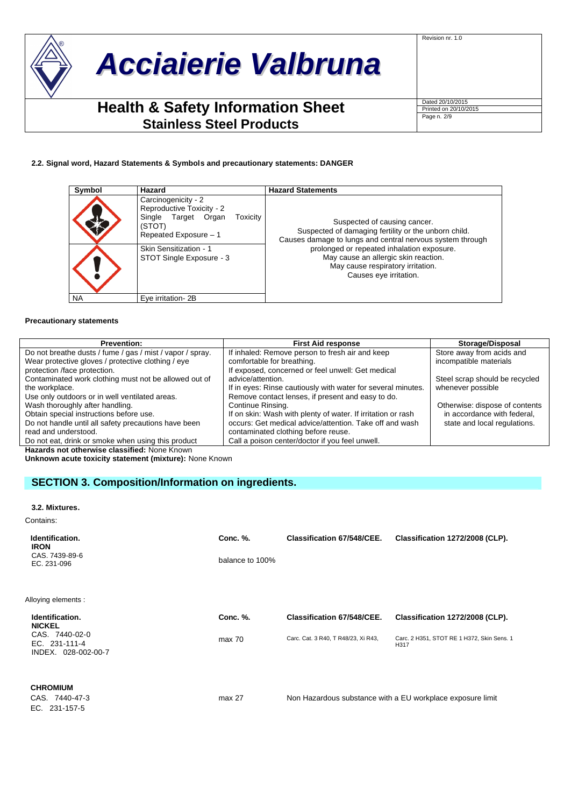

Revision nr. 1.0

Page n. 2/9

## **2.2. Signal word, Hazard Statements & Symbols and precautionary statements: DANGER**

| Symbol    | Hazard                                                                                                                                                                       | <b>Hazard Statements</b>                                                                                                                                                                                                                                                                               |
|-----------|------------------------------------------------------------------------------------------------------------------------------------------------------------------------------|--------------------------------------------------------------------------------------------------------------------------------------------------------------------------------------------------------------------------------------------------------------------------------------------------------|
|           | Carcinogenicity - 2<br>Reproductive Toxicity - 2<br>Single Target Organ<br>Toxicity<br>(STOT)<br>Repeated Exposure - 1<br>Skin Sensitization - 1<br>STOT Single Exposure - 3 | Suspected of causing cancer.<br>Suspected of damaging fertility or the unborn child.<br>Causes damage to lungs and central nervous system through<br>prolonged or repeated inhalation exposure.<br>May cause an allergic skin reaction.<br>May cause respiratory irritation.<br>Causes eye irritation. |
| <b>NA</b> | Eve irritation-2B                                                                                                                                                            |                                                                                                                                                                                                                                                                                                        |

#### **Precautionary statements**

| <b>Prevention:</b>                                        | <b>First Aid response</b>                                    | Storage/Disposal               |
|-----------------------------------------------------------|--------------------------------------------------------------|--------------------------------|
| Do not breathe dusts / fume / gas / mist / vapor / spray. | If inhaled: Remove person to fresh air and keep              | Store away from acids and      |
| Wear protective gloves / protective clothing / eye        | comfortable for breathing.                                   | incompatible materials         |
| protection /face protection.                              | If exposed, concerned or feel unwell: Get medical            |                                |
| Contaminated work clothing must not be allowed out of     | advice/attention.                                            | Steel scrap should be recycled |
| the workplace.                                            | If in eyes: Rinse cautiously with water for several minutes. | whenever possible              |
| Use only outdoors or in well ventilated areas.            | Remove contact lenses, if present and easy to do.            |                                |
| Wash thoroughly after handling.                           | Continue Rinsing.                                            | Otherwise: dispose of contents |
| Obtain special instructions before use.                   | If on skin: Wash with plenty of water. If irritation or rash | in accordance with federal,    |
| Do not handle until all safety precautions have been      | occurs: Get medical advice/attention. Take off and wash      | state and local regulations.   |
| read and understood.                                      | contaminated clothing before reuse.                          |                                |
| Do not eat, drink or smoke when using this product        | Call a poison center/doctor if you feel unwell.              |                                |
| Hazarde not otherwise classified: None Known              |                                                              |                                |

**Hazards not otherwise classified:** None Known

**Unknown acute toxicity statement (mixture):** None Known

# **SECTION 3. Composition/Information on ingredients.**

#### **3.2. Mixtures.**

Contains:

| Identification.<br><b>IRON</b>                         | Conc. %.        | <b>Classification 67/548/CEE.</b>   | Classification 1272/2008 (CLP).                            |
|--------------------------------------------------------|-----------------|-------------------------------------|------------------------------------------------------------|
| CAS, 7439-89-6<br>EC. 231-096                          | balance to 100% |                                     |                                                            |
| Alloying elements :                                    |                 |                                     |                                                            |
| Identification.<br><b>NICKEL</b>                       | Conc. %.        | <b>Classification 67/548/CEE.</b>   | Classification 1272/2008 (CLP).                            |
| CAS. 7440-02-0<br>EC. 231-111-4<br>INDEX. 028-002-00-7 | max 70          | Carc. Cat. 3 R40, T R48/23, Xi R43, | Carc. 2 H351, STOT RE 1 H372, Skin Sens. 1<br>H317         |
| <b>CHROMIUM</b><br>CAS. 7440-47-3<br>EC. 231-157-5     | max 27          |                                     | Non Hazardous substance with a EU workplace exposure limit |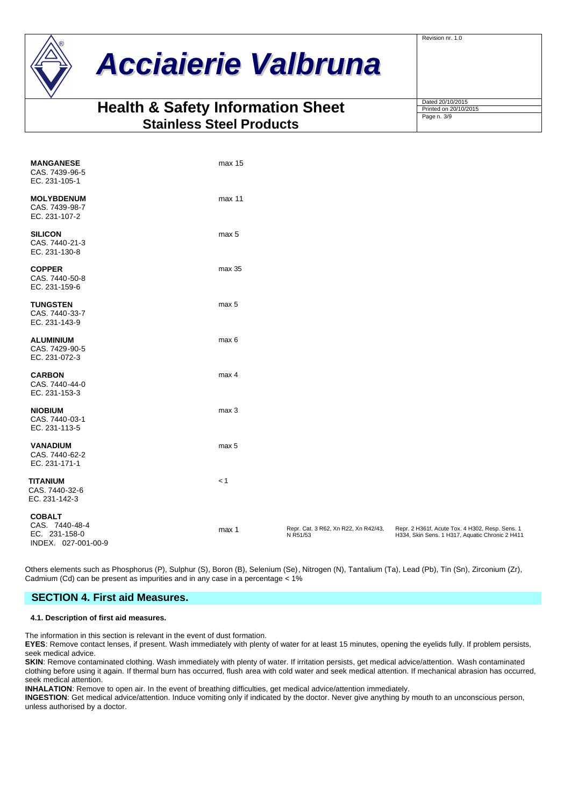

# *Acciaierie Valbruna*

# **Health & Safety Information Sheet Stainless Steel Products**

| Dated 20/10/2015      |  |
|-----------------------|--|
| Printed on 20/10/2015 |  |
| Page n. 3/9           |  |
|                       |  |
|                       |  |

Revision nr. 1.0

| <b>MANGANESE</b><br>CAS. 7439-96-5<br>EC. 231-105-1                     | max 15 |                                                  |                                                                                                    |
|-------------------------------------------------------------------------|--------|--------------------------------------------------|----------------------------------------------------------------------------------------------------|
| <b>MOLYBDENUM</b><br>CAS. 7439-98-7<br>EC. 231-107-2                    | max 11 |                                                  |                                                                                                    |
| <b>SILICON</b><br>CAS. 7440-21-3<br>EC. 231-130-8                       | max 5  |                                                  |                                                                                                    |
| <b>COPPER</b><br>CAS. 7440-50-8<br>EC. 231-159-6                        | max 35 |                                                  |                                                                                                    |
| <b>TUNGSTEN</b><br>CAS. 7440-33-7<br>EC. 231-143-9                      | max 5  |                                                  |                                                                                                    |
| <b>ALUMINIUM</b><br>CAS. 7429-90-5<br>EC. 231-072-3                     | max 6  |                                                  |                                                                                                    |
| <b>CARBON</b><br>CAS. 7440-44-0<br>EC. 231-153-3                        | max 4  |                                                  |                                                                                                    |
| <b>NIOBIUM</b><br>CAS. 7440-03-1<br>EC. 231-113-5                       | max 3  |                                                  |                                                                                                    |
| <b>VANADIUM</b><br>CAS. 7440-62-2<br>EC. 231-171-1                      | max 5  |                                                  |                                                                                                    |
| <b>TITANIUM</b><br>CAS. 7440-32-6<br>EC. 231-142-3                      | < 1    |                                                  |                                                                                                    |
| <b>COBALT</b><br>CAS. 7440-48-4<br>EC. 231-158-0<br>INDEX. 027-001-00-9 | max 1  | Repr. Cat. 3 R62, Xn R22, Xn R42/43,<br>N R51/53 | Repr. 2 H361f, Acute Tox. 4 H302, Resp. Sens. 1<br>H334, Skin Sens. 1 H317, Aquatic Chronic 2 H411 |

Others elements such as Phosphorus (P), Sulphur (S), Boron (B), Selenium (Se), Nitrogen (N), Tantalium (Ta), Lead (Pb), Tin (Sn), Zirconium (Zr), Cadmium (Cd) can be present as impurities and in any case in a percentage < 1%

# **SECTION 4. First aid Measures.**

# **4.1. Description of first aid measures.**

The information in this section is relevant in the event of dust formation.

**EYES**: Remove contact lenses, if present. Wash immediately with plenty of water for at least 15 minutes, opening the eyelids fully. If problem persists, seek medical advice.

**SKIN**: Remove contaminated clothing. Wash immediately with plenty of water. If irritation persists, get medical advice/attention. Wash contaminated clothing before using it again. If thermal burn has occurred, flush area with cold water and seek medical attention. If mechanical abrasion has occurred, seek medical attention.

**INHALATION**: Remove to open air. In the event of breathing difficulties, get medical advice/attention immediately.

**INGESTION**: Get medical advice/attention. Induce vomiting only if indicated by the doctor. Never give anything by mouth to an unconscious person, unless authorised by a doctor.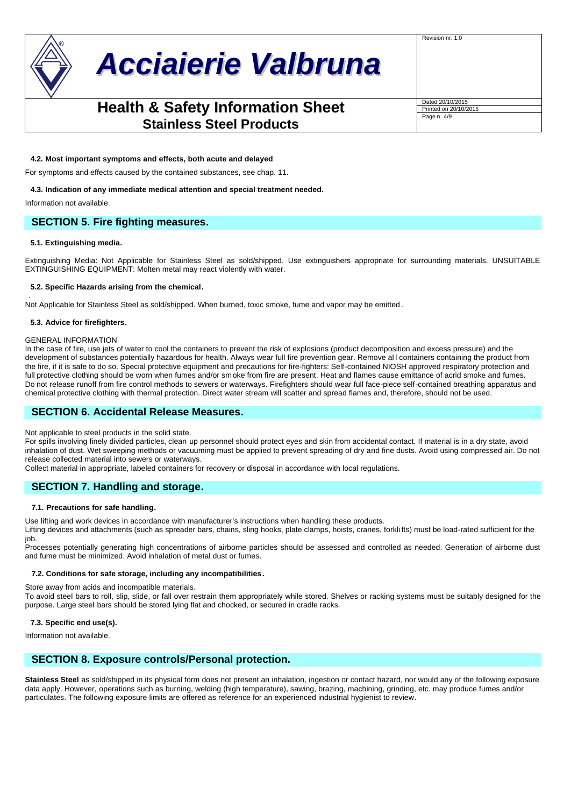

# *Acciaierie Valbruna*

# **Health & Safety Information Sheet Dated 20/10/2015 Stainless Steel Products**

Revision nr. 1.0

Page n. 4/9

## **4.2. Most important symptoms and effects, both acute and delayed**

For symptoms and effects caused by the contained substances, see chap. 11.

## **4.3. Indication of any immediate medical attention and special treatment needed.**

Information not available.

# **SECTION 5. Fire fighting measures.**

## **5.1. Extinguishing media.**

Extinguishing Media: Not Applicable for Stainless Steel as sold/shipped. Use extinguishers appropriate for surrounding materials. UNSUITABLE EXTINGUISHING EQUIPMENT: Molten metal may react violently with water.

## **5.2. Specific Hazards arising from the chemical.**

. Not Applicable for Stainless Steel as sold/shipped. When burned, toxic smoke, fume and vapor may be emitted .

### **5.3. Advice for firefighters.**

### GENERAL INFORMATION

In the case of fire, use jets of water to cool the containers to prevent the risk of explosions (product decomposition and excess pressure) and the development of substances potentially hazardous for health. Always wear full fire prevention gear. Remove al l containers containing the product from the fire, if it is safe to do so. Special protective equipment and precautions for fire-fighters: Self-contained NIOSH approved respiratory protection and full protective clothing should be worn when fumes and/or smoke from fire are present. Heat and flames cause emittance of acrid smoke and fumes. Do not release runoff from fire control methods to sewers or waterways. Firefighters should wear full face-piece self-contained breathing apparatus and chemical protective clothing with thermal protection. Direct water stream will scatter and spread flames and, therefore, should not be used.

# **SECTION 6. Accidental Release Measures.**

Not applicable to steel products in the solid state.

For spills involving finely divided particles, clean up personnel should protect eyes and skin from accidental contact. If material is in a dry state, avoid inhalation of dust. Wet sweeping methods or vacuuming must be applied to prevent spreading of dry and fine dusts. Avoid using compressed air. Do not release collected material into sewers or waterways.

Collect material in appropriate, labeled containers for recovery or disposal in accordance with local regulations.

# **SECTION 7. Handling and storage.**

### **7.1. Precautions for safe handling.**

Use lifting and work devices in accordance with manufacturer's instructions when handling these products.

Lifting devices and attachments (such as spreader bars, chains, sling hooks, plate clamps, hoists, cranes, forkli fts) must be load-rated sufficient for the job.

Processes potentially generating high concentrations of airborne particles should be assessed and controlled as needed. Generation of airborne dust and fume must be minimized. Avoid inhalation of metal dust or fumes.

### **7.2. Conditions for safe storage, including any incompatibilities.**

Store away from acids and incompatible materials.

To avoid steel bars to roll, slip, slide, or fall over restrain them appropriately while stored. Shelves or racking systems must be suitably designed for the purpose. Large steel bars should be stored lying flat and chocked, or secured in cradle racks.

## **7.3. Specific end use(s).**

Information not available.

# **SECTION 8. Exposure controls/Personal protection.**

**Stainless Steel** as sold/shipped in its physical form does not present an inhalation, ingestion or contact hazard, nor would any of the following exposure data apply. However, operations such as burning, welding (high temperature), sawing, brazing, machining, grinding, etc. may produce fumes and/or particulates. The following exposure limits are offered as reference for an experienced industrial hygienist to review.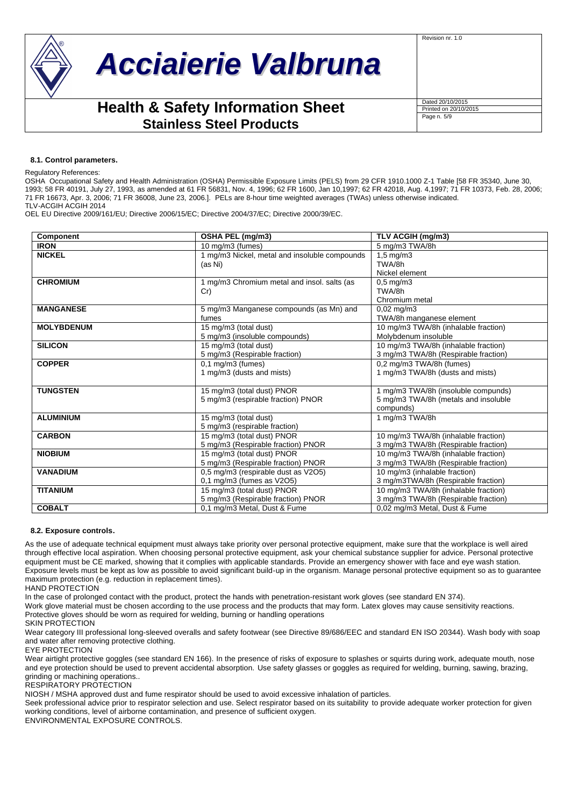



# **Health & Safety Information Sheet Stainless Steel Products**

| Dated 20/10/2015      |
|-----------------------|
| Printed on 20/10/2015 |
| Page n. 5/9           |

### **8.1. Control parameters.**

#### Regulatory References:

OSHA Occupational Safety and Health Administration (OSHA) Permissible Exposure Limits (PELS) from 29 CFR 1910.1000 Z-1 Table [58 FR 35340, June 30, 1993; 58 FR 40191, July 27, 1993, as amended at 61 FR 56831, Nov. 4, 1996; 62 FR 1600, Jan 10,1997; 62 FR 42018, Aug. 4,1997; 71 FR 10373, Feb. 28, 2006; 71 FR 16673, Apr. 3, 2006; 71 FR 36008, June 23, 2006.]. PELs are 8-hour time weighted averages (TWAs) unless otherwise indicated. TLV-ACGIH ACGIH 2014

OEL EU Directive 2009/161/EU; Directive 2006/15/EC; Directive 2004/37/EC; Directive 2000/39/EC.

| Component         | OSHA PEL (mg/m3)                              | TLV ACGIH (mg/m3)                    |
|-------------------|-----------------------------------------------|--------------------------------------|
| <b>IRON</b>       | 10 mg/m3 (fumes)                              | 5 mg/m3 TWA/8h                       |
| <b>NICKEL</b>     | 1 mg/m3 Nickel, metal and insoluble compounds | $1.5 \text{ mg/m}$ 3                 |
|                   | (as Ni)                                       | TWA/8h                               |
|                   |                                               | Nickel element                       |
| <b>CHROMIUM</b>   | 1 mg/m3 Chromium metal and insol. salts (as   | $0.5$ mg/m $3$                       |
|                   | Cr)                                           | TWA/8h                               |
|                   |                                               | Chromium metal                       |
| <b>MANGANESE</b>  | 5 mg/m3 Manganese compounds (as Mn) and       | $0.02 \text{ mg/m}$ 3                |
|                   | fumes                                         | TWA/8h manganese element             |
| <b>MOLYBDENUM</b> | 15 mg/m3 (total dust)                         | 10 mg/m3 TWA/8h (inhalable fraction) |
|                   | 5 mg/m3 (insoluble compounds)                 | Molybdenum insoluble                 |
| <b>SILICON</b>    | 15 mg/m3 (total dust)                         | 10 mg/m3 TWA/8h (inhalable fraction) |
|                   | 5 mg/m3 (Respirable fraction)                 | 3 mg/m3 TWA/8h (Respirable fraction) |
| <b>COPPER</b>     | $0,1$ mg/m3 (fumes)                           | 0,2 mg/m3 TWA/8h (fumes)             |
|                   | 1 mg/m3 (dusts and mists)                     | 1 mg/m3 TWA/8h (dusts and mists)     |
|                   |                                               |                                      |
| <b>TUNGSTEN</b>   | 15 mg/m3 (total dust) PNOR                    | 1 mg/m3 TWA/8h (insoluble compunds)  |
|                   | 5 mg/m3 (respirable fraction) PNOR            | 5 mg/m3 TWA/8h (metals and insoluble |
|                   |                                               | compunds)                            |
| <b>ALUMINIUM</b>  | 15 mg/m3 (total dust)                         | 1 mg/m3 TWA/8h                       |
|                   | 5 mg/m3 (respirable fraction)                 |                                      |
| <b>CARBON</b>     | 15 mg/m3 (total dust) PNOR                    | 10 mg/m3 TWA/8h (inhalable fraction) |
|                   | 5 mg/m3 (Respirable fraction) PNOR            | 3 mg/m3 TWA/8h (Respirable fraction) |
| <b>NIOBIUM</b>    | 15 mg/m3 (total dust) PNOR                    | 10 mg/m3 TWA/8h (inhalable fraction) |
|                   | 5 mg/m3 (Respirable fraction) PNOR            | 3 mg/m3 TWA/8h (Respirable fraction) |
| <b>VANADIUM</b>   | 0,5 mg/m3 (respirable dust as V2O5)           | 10 mg/m3 (inhalable fraction)        |
|                   | $0.1$ mg/m $3$ (fumes as $V2O5$ )             | 3 mg/m3TWA/8h (Respirable fraction)  |
| <b>TITANIUM</b>   | 15 mg/m3 (total dust) PNOR                    | 10 mg/m3 TWA/8h (inhalable fraction) |
|                   | 5 mg/m3 (Respirable fraction) PNOR            | 3 mg/m3 TWA/8h (Respirable fraction) |
| <b>COBALT</b>     | 0.1 mg/m3 Metal, Dust & Fume                  | 0,02 mg/m3 Metal, Dust & Fume        |

#### **8.2. Exposure controls.**

As the use of adequate technical equipment must always take priority over personal protective equipment, make sure that the workplace is well aired through effective local aspiration. When choosing personal protective equipment, ask your chemical substance supplier for advice. Personal protective equipment must be CE marked, showing that it complies with applicable standards. Provide an emergency shower with face and eye wash station. Exposure levels must be kept as low as possible to avoid significant build-up in the organism. Manage personal protective equipment so as to guarantee maximum protection (e.g. reduction in replacement times).

HAND PROTECTION

In the case of prolonged contact with the product, protect the hands with penetration-resistant work gloves (see standard EN 374).

Work glove material must be chosen according to the use process and the products that may form. Latex gloves may cause sensitivity reactions.

Protective gloves should be worn as required for welding, burning or handling operations

SKIN PROTECTION

Wear category III professional long-sleeved overalls and safety footwear (see Directive 89/686/EEC and standard EN ISO 20344). Wash body with soap and water after removing protective clothing.

EYE PROTECTION

Wear airtight protective goggles (see standard EN 166). In the presence of risks of exposure to splashes or squirts during work, adequate mouth, nose and eye protection should be used to prevent accidental absorption. Use safety glasses or goggles as required for welding, burning, sawing, brazing, grinding or machining operations..

RESPIRATORY PROTECTION

NIOSH / MSHA approved dust and fume respirator should be used to avoid excessive inhalation of particles.

Seek professional advice prior to respirator selection and use. Select respirator based on its suitability to provide adequate worker protection for given working conditions, level of airborne contamination, and presence of sufficient oxygen.

ENVIRONMENTAL EXPOSURE CONTROLS.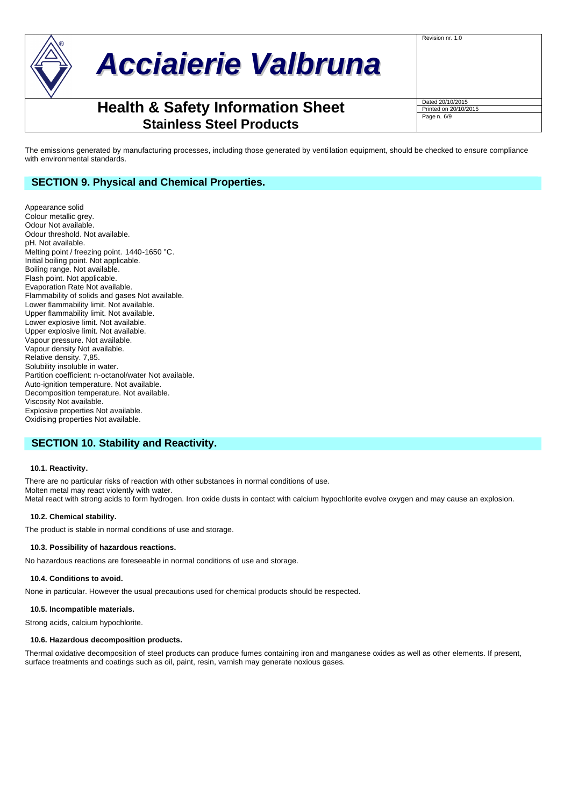

Page n. 6/9

Revision nr. 1.0

The emissions generated by manufacturing processes, including those generated by venti lation equipment, should be checked to ensure compliance with environmental standards.

# **SECTION 9. Physical and Chemical Properties.**

Appearance solid Colour metallic grey. Odour Not available. Odour threshold. Not available. pH. Not available. Melting point / freezing point. 1440-1650 °C. Initial boiling point. Not applicable. Boiling range. Not available. Flash point. Not applicable. Evaporation Rate Not available. Flammability of solids and gases Not available. Lower flammability limit. Not available. Upper flammability limit. Not available. Lower explosive limit. Not available. Upper explosive limit. Not available. Vapour pressure. Not available. Vapour density Not available. Relative density. 7,85. Solubility insoluble in water. Partition coefficient: n-octanol/water Not available. Auto-ignition temperature. Not available. Decomposition temperature. Not available. Viscosity Not available. Explosive properties Not available. Oxidising properties Not available.

# **SECTION 10. Stability and Reactivity.**

### **10.1. Reactivity.**

There are no particular risks of reaction with other substances in normal conditions of use. Molten metal may react violently with water. Metal react with strong acids to form hydrogen. Iron oxide dusts in contact with calcium hypochlorite evolve oxygen and may cause an explosion.

### **10.2. Chemical stability.**

The product is stable in normal conditions of use and storage.

### **10.3. Possibility of hazardous reactions.**

No hazardous reactions are foreseeable in normal conditions of use and storage.

### **10.4. Conditions to avoid.**

None in particular. However the usual precautions used for chemical products should be respected.

# **10.5. Incompatible materials.**

Strong acids, calcium hypochlorite.

# **10.6. Hazardous decomposition products.**

Thermal oxidative decomposition of steel products can produce fumes containing iron and manganese oxides as well as other elements. If present, surface treatments and coatings such as oil, paint, resin, varnish may generate noxious gases.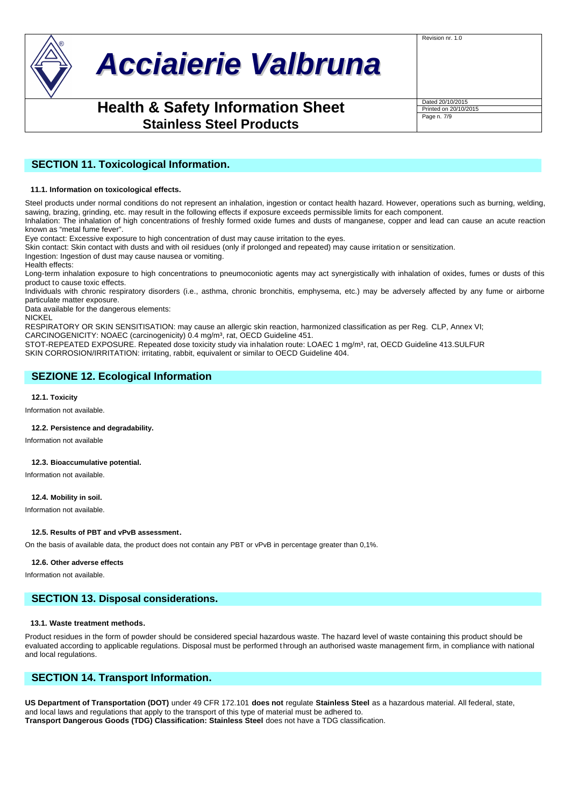

Revision nr. 1.0

Page n. 7/9

# **SECTION 11. Toxicological Information.**

### **11.1. Information on toxicological effects.**

Steel products under normal conditions do not represent an inhalation, ingestion or contact health hazard. However, operations such as burning, welding, sawing, brazing, grinding, etc. may result in the following effects if exposure exceeds permissible limits for each component.

Inhalation: The inhalation of high concentrations of freshly formed oxide fumes and dusts of manganese, copper and lead can cause an acute reaction known as "metal fume fever".

Eye contact: Excessive exposure to high concentration of dust may cause irritation to the eyes.

Skin contact: Skin contact with dusts and with oil residues (only if prolonged and repeated) may cause irritation or sensitization.

Ingestion: Ingestion of dust may cause nausea or vomiting.

Health effects:

Long-term inhalation exposure to high concentrations to pneumoconiotic agents may act synergistically with inhalation of oxides, fumes or dusts of this product to cause toxic effects.

Individuals with chronic respiratory disorders (i.e., asthma, chronic bronchitis, emphysema, etc.) may be adversely affected by any fume or airborne particulate matter exposure.

Data available for the dangerous elements:

**NICKEL** 

RESPIRATORY OR SKIN SENSITISATION: may cause an allergic skin reaction, harmonized classification as per Reg. CLP, Annex VI;

CARCINOGENICITY: NOAEC (carcinogenicity) 0.4 mg/m<sup>3</sup>, rat, OECD Guideline 451.

STOT-REPEATED EXPOSURE. Repeated dose toxicity study via inhalation route: LOAEC 1 mg/m<sup>3</sup>, rat, OECD Guideline 413.SULFUR SKIN CORROSION/IRRITATION: irritating, rabbit, equivalent or similar to OECD Guideline 404.

# **SEZIONE 12. Ecological Information**

#### **12.1. Toxicity**

Information not available.

### **12.2. Persistence and degradability.**

Information not available

## **12.3. Bioaccumulative potential.**

Information not available.

### **12.4. Mobility in soil.**

Information not available.

### **12.5. Results of PBT and vPvB assessment.**

On the basis of available data, the product does not contain any PBT or vPvB in percentage greater than 0,1%.

#### **12.6. Other adverse effects**

Information not available.

# **SECTION 13. Disposal considerations.**

### **13.1. Waste treatment methods.**

Product residues in the form of powder should be considered special hazardous waste. The hazard level of waste containing this product should be evaluated according to applicable regulations. Disposal must be performed through an authorised waste management firm, in compliance with national and local regulations.

# **SECTION 14. Transport Information.**

**US Department of Transportation (DOT)** under 49 CFR 172.101 **does not** regulate **Stainless Steel** as a hazardous material. All federal, state, and local laws and regulations that apply to the transport of this type of material must be adhered to. **Transport Dangerous Goods (TDG) Classification: Stainless Steel** does not have a TDG classification.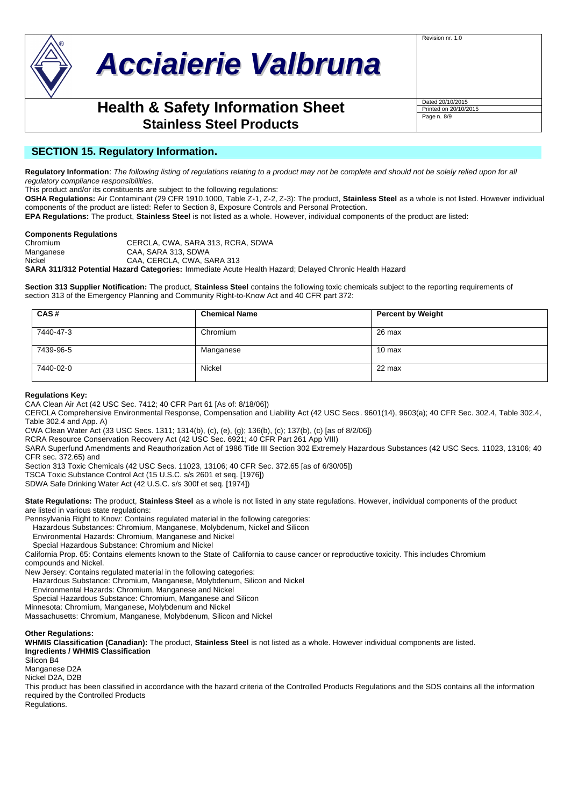

Page n. 8/9

Revision nr. 1.0

# **SECTION 15. Regulatory Information.**

**Regulatory Information**: *The following listing of regulations relating to a product may not be complete and should not be solely relied upon for all regulatory compliance responsibilities.*

This product and/or its constituents are subject to the following regulations:

**OSHA Regulations:** Air Contaminant (29 CFR 1910.1000, Table Z-1, Z-2, Z-3): The product, **Stainless Steel** as a whole is not listed. However individual components of the product are listed: Refer to Section 8, Exposure Controls and Personal Protection.

**EPA Regulations:** The product, **Stainless Steel** is not listed as a whole. However, individual components of the product are listed:

# **Components Regulations**

CERCLA, CWA, SARA 313, RCRA, SDWA Manganese CAA, SARA 313, SDWA Nickel CAA, CERCLA, CWA, SARA 313 **SARA 311/312 Potential Hazard Categories:** Immediate Acute Health Hazard; Delayed Chronic Health Hazard

**Section 313 Supplier Notification:** The product, **Stainless Steel** contains the following toxic chemicals subject to the reporting requirements of section 313 of the Emergency Planning and Community Right-to-Know Act and 40 CFR part 372:

| CAS#      | <b>Chemical Name</b> | <b>Percent by Weight</b> |
|-----------|----------------------|--------------------------|
| 7440-47-3 | Chromium             | 26 max                   |
| 7439-96-5 | Manganese            | $10 \text{ max}$         |
| 7440-02-0 | Nickel               | 22 max                   |

## **Regulations Key:**

CAA Clean Air Act (42 USC Sec. 7412; 40 CFR Part 61 [As of: 8/18/06])

CERCLA Comprehensive Environmental Response, Compensation and Liability Act (42 USC Secs . 9601(14), 9603(a); 40 CFR Sec. 302.4, Table 302.4, Table 302.4 and App. A)

CWA Clean Water Act (33 USC Secs. 1311; 1314(b), (c), (e), (g); 136(b), (c); 137(b), (c) [as of 8/2/06])

RCRA Resource Conservation Recovery Act (42 USC Sec. 6921; 40 CFR Part 261 App VIII)

SARA Superfund Amendments and Reauthorization Act of 1986 Title III Section 302 Extremely Hazardous Substances (42 USC Secs. 11023, 13106; 40 CFR sec. 372.65) and

Section 313 Toxic Chemicals (42 USC Secs. 11023, 13106; 40 CFR Sec. 372.65 [as of 6/30/05])

TSCA Toxic Substance Control Act (15 U.S.C. s/s 2601 et seq. [1976])

SDWA Safe Drinking Water Act (42 U.S.C. s/s 300f et seq. [1974])

**State Regulations:** The product, **Stainless Steel** as a whole is not listed in any state regulations. However, individual components of the product are listed in various state regulations:

Pennsylvania Right to Know: Contains regulated material in the following categories:

Hazardous Substances: Chromium, Manganese, Molybdenum, Nickel and Silicon

Environmental Hazards: Chromium, Manganese and Nickel

Special Hazardous Substance: Chromium and Nickel

California Prop. 65: Contains elements known to the State of California to cause cancer or reproductive toxicity. This includes Chromium compounds and Nickel.

New Jersey: Contains regulated material in the following categories:

Hazardous Substance: Chromium, Manganese, Molybdenum, Silicon and Nickel

Environmental Hazards: Chromium, Manganese and Nickel

Special Hazardous Substance: Chromium, Manganese and Silicon

Minnesota: Chromium, Manganese, Molybdenum and Nickel

Massachusetts: Chromium, Manganese, Molybdenum, Silicon and Nickel

## **Other Regulations:**

**WHMIS Classification (Canadian):** The product, **Stainless Steel** is not listed as a whole. However individual components are listed. **Ingredients / WHMIS Classification**

Silicon B4

Manganese D2A

Nickel D2A, D2B

This product has been classified in accordance with the hazard criteria of the Controlled Products Regulations and the SDS contains all the information required by the Controlled Products

Regulations.